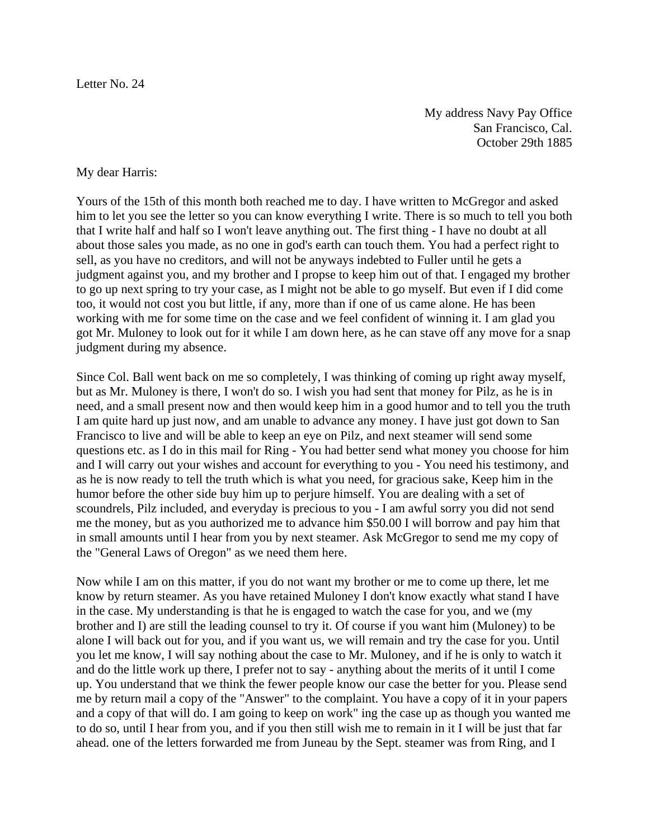Letter No. 24

My address Navy Pay Office San Francisco, Cal. October 29th 1885

## My dear Harris:

Yours of the 15th of this month both reached me to day. I have written to McGregor and asked him to let you see the letter so you can know everything I write. There is so much to tell you both that I write half and half so I won't leave anything out. The first thing - I have no doubt at all about those sales you made, as no one in god's earth can touch them. You had a perfect right to sell, as you have no creditors, and will not be anyways indebted to Fuller until he gets a judgment against you, and my brother and I propse to keep him out of that. I engaged my brother to go up next spring to try your case, as I might not be able to go myself. But even if I did come too, it would not cost you but little, if any, more than if one of us came alone. He has been working with me for some time on the case and we feel confident of winning it. I am glad you got Mr. Muloney to look out for it while I am down here, as he can stave off any move for a snap judgment during my absence.

Since Col. Ball went back on me so completely, I was thinking of coming up right away myself, but as Mr. Muloney is there, I won't do so. I wish you had sent that money for Pilz, as he is in need, and a small present now and then would keep him in a good humor and to tell you the truth I am quite hard up just now, and am unable to advance any money. I have just got down to San Francisco to live and will be able to keep an eye on Pilz, and next steamer will send some questions etc. as I do in this mail for Ring - You had better send what money you choose for him and I will carry out your wishes and account for everything to you - You need his testimony, and as he is now ready to tell the truth which is what you need, for gracious sake, Keep him in the humor before the other side buy him up to perjure himself. You are dealing with a set of scoundrels, Pilz included, and everyday is precious to you - I am awful sorry you did not send me the money, but as you authorized me to advance him \$50.00 I will borrow and pay him that in small amounts until I hear from you by next steamer. Ask McGregor to send me my copy of the "General Laws of Oregon" as we need them here.

Now while I am on this matter, if you do not want my brother or me to come up there, let me know by return steamer. As you have retained Muloney I don't know exactly what stand I have in the case. My understanding is that he is engaged to watch the case for you, and we (my brother and I) are still the leading counsel to try it. Of course if you want him (Muloney) to be alone I will back out for you, and if you want us, we will remain and try the case for you. Until you let me know, I will say nothing about the case to Mr. Muloney, and if he is only to watch it and do the little work up there, I prefer not to say - anything about the merits of it until I come up. You understand that we think the fewer people know our case the better for you. Please send me by return mail a copy of the "Answer" to the complaint. You have a copy of it in your papers and a copy of that will do. I am going to keep on work" ing the case up as though you wanted me to do so, until I hear from you, and if you then still wish me to remain in it I will be just that far ahead. one of the letters forwarded me from Juneau by the Sept. steamer was from Ring, and I